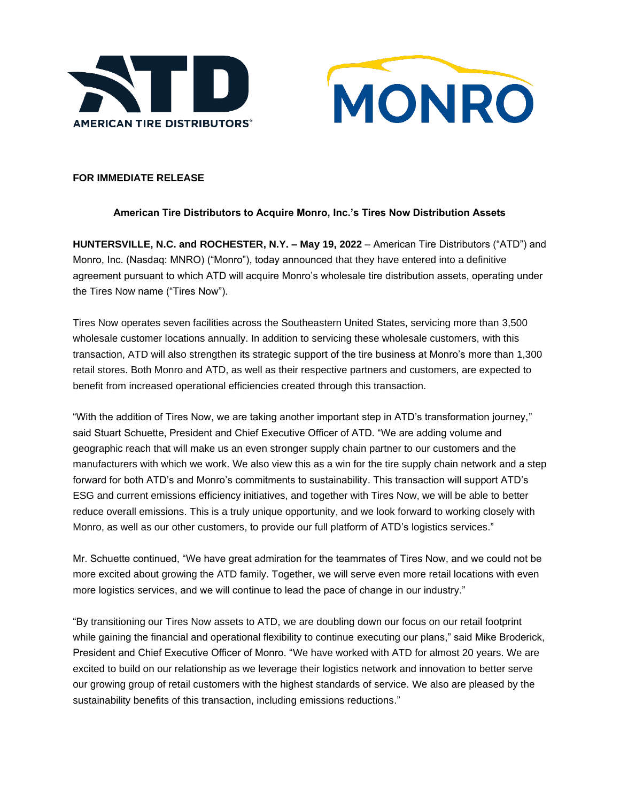



# **FOR IMMEDIATE RELEASE**

# **American Tire Distributors to Acquire Monro, Inc.'s Tires Now Distribution Assets**

**HUNTERSVILLE, N.C. and ROCHESTER, N.Y. – May 19, 2022** – American Tire Distributors ("ATD") and Monro, Inc. (Nasdaq: MNRO) ("Monro"), today announced that they have entered into a definitive agreement pursuant to which ATD will acquire Monro's wholesale tire distribution assets, operating under the Tires Now name ("Tires Now").

Tires Now operates seven facilities across the Southeastern United States, servicing more than 3,500 wholesale customer locations annually. In addition to servicing these wholesale customers, with this transaction, ATD will also strengthen its strategic support of the tire business at Monro's more than 1,300 retail stores. Both Monro and ATD, as well as their respective partners and customers, are expected to benefit from increased operational efficiencies created through this transaction.

"With the addition of Tires Now, we are taking another important step in ATD's transformation journey," said Stuart Schuette, President and Chief Executive Officer of ATD. "We are adding volume and geographic reach that will make us an even stronger supply chain partner to our customers and the manufacturers with which we work. We also view this as a win for the tire supply chain network and a step forward for both ATD's and Monro's commitments to sustainability. This transaction will support ATD's ESG and current emissions efficiency initiatives, and together with Tires Now, we will be able to better reduce overall emissions. This is a truly unique opportunity, and we look forward to working closely with Monro, as well as our other customers, to provide our full platform of ATD's logistics services."

Mr. Schuette continued, "We have great admiration for the teammates of Tires Now, and we could not be more excited about growing the ATD family. Together, we will serve even more retail locations with even more logistics services, and we will continue to lead the pace of change in our industry."

"By transitioning our Tires Now assets to ATD, we are doubling down our focus on our retail footprint while gaining the financial and operational flexibility to continue executing our plans," said Mike Broderick, President and Chief Executive Officer of Monro. "We have worked with ATD for almost 20 years. We are excited to build on our relationship as we leverage their logistics network and innovation to better serve our growing group of retail customers with the highest standards of service. We also are pleased by the sustainability benefits of this transaction, including emissions reductions."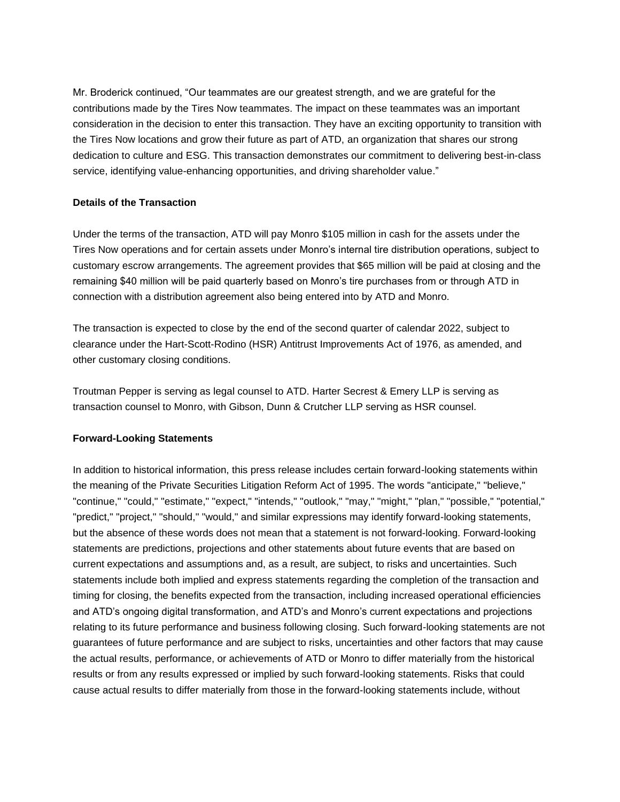Mr. Broderick continued, "Our teammates are our greatest strength, and we are grateful for the contributions made by the Tires Now teammates. The impact on these teammates was an important consideration in the decision to enter this transaction. They have an exciting opportunity to transition with the Tires Now locations and grow their future as part of ATD, an organization that shares our strong dedication to culture and ESG. This transaction demonstrates our commitment to delivering best-in-class service, identifying value-enhancing opportunities, and driving shareholder value."

### **Details of the Transaction**

Under the terms of the transaction, ATD will pay Monro \$105 million in cash for the assets under the Tires Now operations and for certain assets under Monro's internal tire distribution operations, subject to customary escrow arrangements. The agreement provides that \$65 million will be paid at closing and the remaining \$40 million will be paid quarterly based on Monro's tire purchases from or through ATD in connection with a distribution agreement also being entered into by ATD and Monro.

The transaction is expected to close by the end of the second quarter of calendar 2022, subject to clearance under the Hart-Scott-Rodino (HSR) Antitrust Improvements Act of 1976, as amended, and other customary closing conditions.

Troutman Pepper is serving as legal counsel to ATD. Harter Secrest & Emery LLP is serving as transaction counsel to Monro, with Gibson, Dunn & Crutcher LLP serving as HSR counsel.

# **Forward-Looking Statements**

In addition to historical information, this press release includes certain forward-looking statements within the meaning of the Private Securities Litigation Reform Act of 1995. The words "anticipate," "believe," "continue," "could," "estimate," "expect," "intends," "outlook," "may," "might," "plan," "possible," "potential," "predict," "project," "should," "would," and similar expressions may identify forward-looking statements, but the absence of these words does not mean that a statement is not forward-looking. Forward-looking statements are predictions, projections and other statements about future events that are based on current expectations and assumptions and, as a result, are subject, to risks and uncertainties. Such statements include both implied and express statements regarding the completion of the transaction and timing for closing, the benefits expected from the transaction, including increased operational efficiencies and ATD's ongoing digital transformation, and ATD's and Monro's current expectations and projections relating to its future performance and business following closing. Such forward-looking statements are not guarantees of future performance and are subject to risks, uncertainties and other factors that may cause the actual results, performance, or achievements of ATD or Monro to differ materially from the historical results or from any results expressed or implied by such forward-looking statements. Risks that could cause actual results to differ materially from those in the forward-looking statements include, without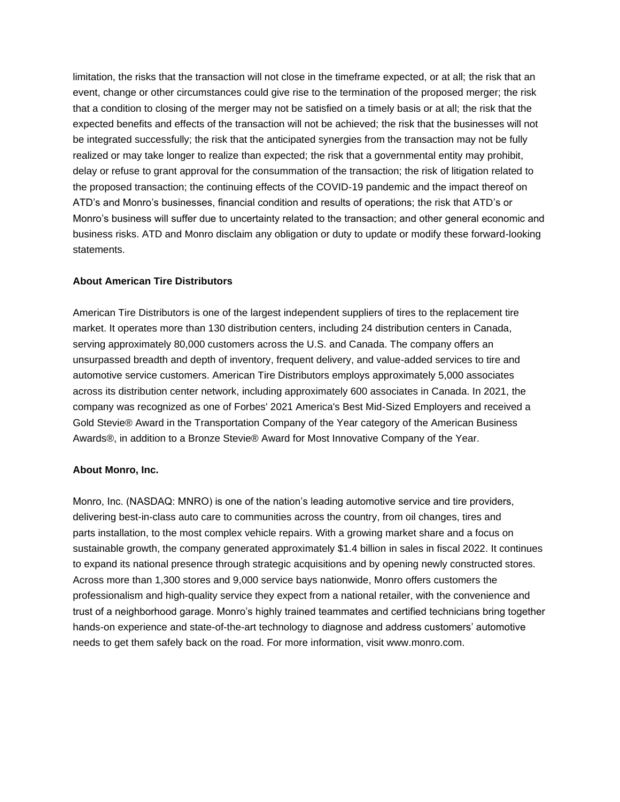limitation, the risks that the transaction will not close in the timeframe expected, or at all; the risk that an event, change or other circumstances could give rise to the termination of the proposed merger; the risk that a condition to closing of the merger may not be satisfied on a timely basis or at all; the risk that the expected benefits and effects of the transaction will not be achieved; the risk that the businesses will not be integrated successfully; the risk that the anticipated synergies from the transaction may not be fully realized or may take longer to realize than expected; the risk that a governmental entity may prohibit, delay or refuse to grant approval for the consummation of the transaction; the risk of litigation related to the proposed transaction; the continuing effects of the COVID-19 pandemic and the impact thereof on ATD's and Monro's businesses, financial condition and results of operations; the risk that ATD's or Monro's business will suffer due to uncertainty related to the transaction; and other general economic and business risks. ATD and Monro disclaim any obligation or duty to update or modify these forward-looking statements.

#### **About American Tire Distributors**

American Tire Distributors is one of the largest independent suppliers of tires to the replacement tire market. It operates more than 130 distribution centers, including 24 distribution centers in Canada, serving approximately 80,000 customers across the U.S. and Canada. The company offers an unsurpassed breadth and depth of inventory, frequent delivery, and value-added services to tire and automotive service customers. American Tire Distributors employs approximately 5,000 associates across its distribution center network, including approximately 600 associates in Canada. In 2021, the company was recognized as one of Forbes' 2021 America's Best Mid-Sized Employers and received a Gold Stevie® Award in the Transportation Company of the Year category of the American Business Awards®, in addition to a Bronze Stevie® Award for Most Innovative Company of the Year.

#### **About Monro, Inc.**

Monro, Inc. (NASDAQ: MNRO) is one of the nation's leading automotive service and tire providers, delivering best-in-class auto care to communities across the country, from oil changes, tires and parts installation, to the most complex vehicle repairs. With a growing market share and a focus on sustainable growth, the company generated approximately \$1.4 billion in sales in fiscal 2022. It continues to expand its national presence through strategic acquisitions and by opening newly constructed stores. Across more than 1,300 stores and 9,000 service bays nationwide, Monro offers customers the professionalism and high-quality service they expect from a national retailer, with the convenience and trust of a neighborhood garage. Monro's highly trained teammates and certified technicians bring together hands-on experience and state-of-the-art technology to diagnose and address customers' automotive needs to get them safely back on the road. For more information, visit www.monro.com.